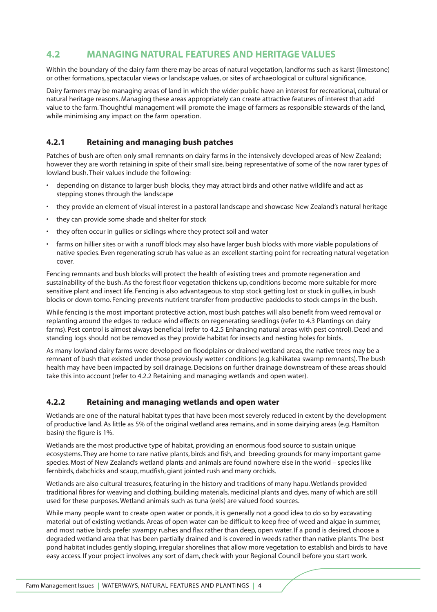# **4.2 MANAGING NATURAL FEATURES AND HERITAGE VALUES**

Within the boundary of the dairy farm there may be areas of natural vegetation, landforms such as karst (limestone) or other formations, spectacular views or landscape values, or sites of archaeological or cultural significance.

Dairy farmers may be managing areas of land in which the wider public have an interest for recreational, cultural or natural heritage reasons. Managing these areas appropriately can create attractive features of interest that add value to the farm. Thoughtful management will promote the image of farmers as responsible stewards of the land, while minimising any impact on the farm operation.

## **4.2.1 Retaining and managing bush patches**

Patches of bush are often only small remnants on dairy farms in the intensively developed areas of New Zealand; however they are worth retaining in spite of their small size, being representative of some of the now rarer types of lowland bush. Their values include the following:

- depending on distance to larger bush blocks, they may attract birds and other native wildlife and act as stepping stones through the landscape
- they provide an element of visual interest in a pastoral landscape and showcase New Zealand's natural heritage
- they can provide some shade and shelter for stock
- they often occur in gullies or sidlings where they protect soil and water
- farms on hillier sites or with a runoff block may also have larger bush blocks with more viable populations of native species. Even regenerating scrub has value as an excellent starting point for recreating natural vegetation cover.

Fencing remnants and bush blocks will protect the health of existing trees and promote regeneration and sustainability of the bush. As the forest floor vegetation thickens up, conditions become more suitable for more sensitive plant and insect life. Fencing is also advantageous to stop stock getting lost or stuck in gullies, in bush blocks or down tomo. Fencing prevents nutrient transfer from productive paddocks to stock camps in the bush.

While fencing is the most important protective action, most bush patches will also benefit from weed removal or replanting around the edges to reduce wind effects on regenerating seedlings (refer to 4.3 Plantings on dairy farms). Pest control is almost always beneficial (refer to 4.2.5 Enhancing natural areas with pest control). Dead and standing logs should not be removed as they provide habitat for insects and nesting holes for birds.

As many lowland dairy farms were developed on floodplains or drained wetland areas, the native trees may be a remnant of bush that existed under those previously wetter conditions (e.g. kahikatea swamp remnants). The bush health may have been impacted by soil drainage. Decisions on further drainage downstream of these areas should take this into account (refer to 4.2.2 Retaining and managing wetlands and open water).

#### **4.2.2 Retaining and managing wetlands and open water**

Wetlands are one of the natural habitat types that have been most severely reduced in extent by the development of productive land. As little as 5% of the original wetland area remains, and in some dairying areas (e.g. Hamilton basin) the figure is 1%.

Wetlands are the most productive type of habitat, providing an enormous food source to sustain unique ecosystems. They are home to rare native plants, birds and fish, and breeding grounds for many important game species. Most of New Zealand's wetland plants and animals are found nowhere else in the world – species like fernbirds, dabchicks and scaup, mudfish, giant jointed rush and many orchids.

Wetlands are also cultural treasures, featuring in the history and traditions of many hapu. Wetlands provided traditional fibres for weaving and clothing, building materials, medicinal plants and dyes, many of which are still used for these purposes. Wetland animals such as tuna (eels) are valued food sources.

While many people want to create open water or ponds, it is generally not a good idea to do so by excavating material out of existing wetlands. Areas of open water can be difficult to keep free of weed and algae in summer, and most native birds prefer swampy rushes and flax rather than deep, open water. If a pond is desired, choose a degraded wetland area that has been partially drained and is covered in weeds rather than native plants. The best pond habitat includes gently sloping, irregular shorelines that allow more vegetation to establish and birds to have easy access. If your project involves any sort of dam, check with your Regional Council before you start work.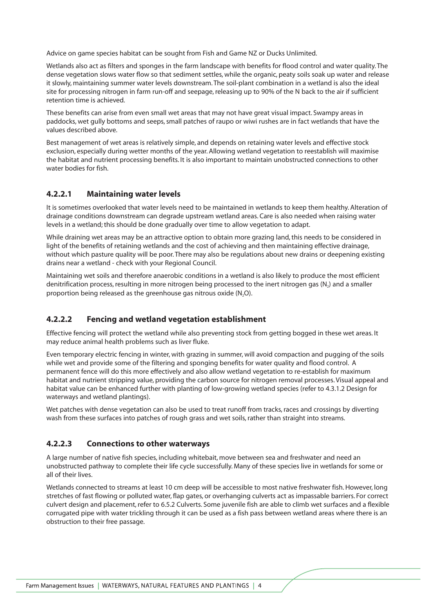Advice on game species habitat can be sought from Fish and Game NZ or Ducks Unlimited.

Wetlands also act as filters and sponges in the farm landscape with benefits for flood control and water quality. The dense vegetation slows water flow so that sediment settles, while the organic, peaty soils soak up water and release it slowly, maintaining summer water levels downstream. The soil-plant combination in a wetland is also the ideal site for processing nitrogen in farm run-off and seepage, releasing up to 90% of the N back to the air if sufficient retention time is achieved.

These benefits can arise from even small wet areas that may not have great visual impact. Swampy areas in paddocks, wet gully bottoms and seeps, small patches of raupo or wiwi rushes are in fact wetlands that have the values described above.

Best management of wet areas is relatively simple, and depends on retaining water levels and effective stock exclusion, especially during wetter months of the year. Allowing wetland vegetation to reestablish will maximise the habitat and nutrient processing benefits. It is also important to maintain unobstructed connections to other water bodies for fish.

#### **4.2.2.1 Maintaining water levels**

It is sometimes overlooked that water levels need to be maintained in wetlands to keep them healthy. Alteration of drainage conditions downstream can degrade upstream wetland areas. Care is also needed when raising water levels in a wetland; this should be done gradually over time to allow vegetation to adapt.

While draining wet areas may be an attractive option to obtain more grazing land, this needs to be considered in light of the benefits of retaining wetlands and the cost of achieving and then maintaining effective drainage, without which pasture quality will be poor. There may also be regulations about new drains or deepening existing drains near a wetland - check with your Regional Council.

Maintaining wet soils and therefore anaerobic conditions in a wetland is also likely to produce the most efficient denitrification process, resulting in more nitrogen being processed to the inert nitrogen gas (N<sub>2</sub>) and a smaller proportion being released as the greenhouse gas nitrous oxide  $(N,0)$ .

#### **4.2.2.2 Fencing and wetland vegetation establishment**

Effective fencing will protect the wetland while also preventing stock from getting bogged in these wet areas. It may reduce animal health problems such as liver fluke.

Even temporary electric fencing in winter, with grazing in summer, will avoid compaction and pugging of the soils while wet and provide some of the filtering and sponging benefits for water quality and flood control. A permanent fence will do this more effectively and also allow wetland vegetation to re-establish for maximum habitat and nutrient stripping value, providing the carbon source for nitrogen removal processes. Visual appeal and habitat value can be enhanced further with planting of low-growing wetland species (refer to 4.3.1.2 Design for waterways and wetland plantings).

Wet patches with dense vegetation can also be used to treat runoff from tracks, races and crossings by diverting wash from these surfaces into patches of rough grass and wet soils, rather than straight into streams.

#### **4.2.2.3 Connections to other waterways**

A large number of native fish species, including whitebait, move between sea and freshwater and need an unobstructed pathway to complete their life cycle successfully. Many of these species live in wetlands for some or all of their lives.

Wetlands connected to streams at least 10 cm deep will be accessible to most native freshwater fish. However, long stretches of fast flowing or polluted water, flap gates, or overhanging culverts act as impassable barriers. For correct culvert design and placement, refer to 6.5.2 Culverts. Some juvenile fish are able to climb wet surfaces and a flexible corrugated pipe with water trickling through it can be used as a fish pass between wetland areas where there is an obstruction to their free passage.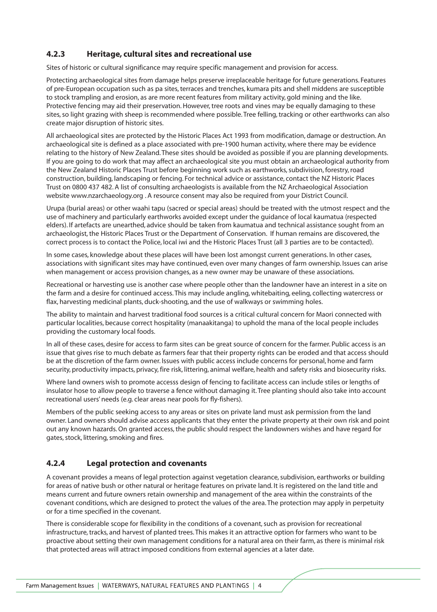## **4.2.3 Heritage, cultural sites and recreational use**

Sites of historic or cultural significance may require specific management and provision for access.

Protecting archaeological sites from damage helps preserve irreplaceable heritage for future generations. Features of pre-European occupation such as pa sites, terraces and trenches, kumara pits and shell middens are susceptible to stock trampling and erosion, as are more recent features from military activity, gold mining and the like. Protective fencing may aid their preservation. However, tree roots and vines may be equally damaging to these sites, so light grazing with sheep is recommended where possible. Tree felling, tracking or other earthworks can also create major disruption of historic sites.

All archaeological sites are protected by the Historic Places Act 1993 from modification, damage or destruction. An archaeological site is defined as a place associated with pre-1900 human activity, where there may be evidence relating to the history of New Zealand. These sites should be avoided as possible if you are planning developments. If you are going to do work that may affect an archaeological site you must obtain an archaeological authority from the New Zealand Historic Places Trust before beginning work such as earthworks, subdivision, forestry, road construction, building, landscaping or fencing. For technical advice or assistance, contact the NZ Historic Places Trust on 0800 437 482. A list of consulting archaeologists is available from the NZ Archaeological Association website www.nzarchaeology.org . A resource consent may also be required from your District Council.

Urupa (burial areas) or other waahi tapu (sacred or special areas) should be treated with the utmost respect and the use of machinery and particularly earthworks avoided except under the guidance of local kaumatua (respected elders). If artefacts are unearthed, advice should be taken from kaumatua and technical assistance sought from an archaeologist, the Historic Places Trust or the Department of Conservation. If human remains are discovered, the correct process is to contact the Police, local iwi and the Historic Places Trust (all 3 parties are to be contacted).

In some cases, knowledge about these places will have been lost amongst current generations. In other cases, associations with significant sites may have continued, even over many changes of farm ownership. Issues can arise when management or access provision changes, as a new owner may be unaware of these associations.

Recreational or harvesting use is another case where people other than the landowner have an interest in a site on the farm and a desire for continued access. This may include angling, whitebaiting, eeling, collecting watercress or flax, harvesting medicinal plants, duck-shooting, and the use of walkways or swimming holes.

The ability to maintain and harvest traditional food sources is a critical cultural concern for Maori connected with particular localities, because correct hospitality (manaakitanga) to uphold the mana of the local people includes providing the customary local foods.

In all of these cases, desire for access to farm sites can be great source of concern for the farmer. Public access is an issue that gives rise to much debate as farmers fear that their property rights can be eroded and that access should be at the discretion of the farm owner. Issues with public access include concerns for personal, home and farm security, productivity impacts, privacy, fire risk, littering, animal welfare, health and safety risks and biosecurity risks.

Where land owners wish to promote accesss design of fencing to facilitate access can include stiles or lengths of insulator hose to allow people to traverse a fence without damaging it. Tree planting should also take into account recreational users' needs (e.g. clear areas near pools for fly-fishers).

Members of the public seeking access to any areas or sites on private land must ask permission from the land owner. Land owners should advise access applicants that they enter the private property at their own risk and point out any known hazards. On granted access, the public should respect the landowners wishes and have regard for gates, stock, littering, smoking and fires.

## **4.2.4 Legal protection and covenants**

A covenant provides a means of legal protection against vegetation clearance, subdivision, earthworks or building for areas of native bush or other natural or heritage features on private land. It is registered on the land title and means current and future owners retain ownership and management of the area within the constraints of the covenant conditions, which are designed to protect the values of the area. The protection may apply in perpetuity or for a time specified in the covenant.

There is considerable scope for flexibility in the conditions of a covenant, such as provision for recreational infrastructure, tracks, and harvest of planted trees. This makes it an attractive option for farmers who want to be proactive about setting their own management conditions for a natural area on their farm, as there is minimal risk that protected areas will attract imposed conditions from external agencies at a later date.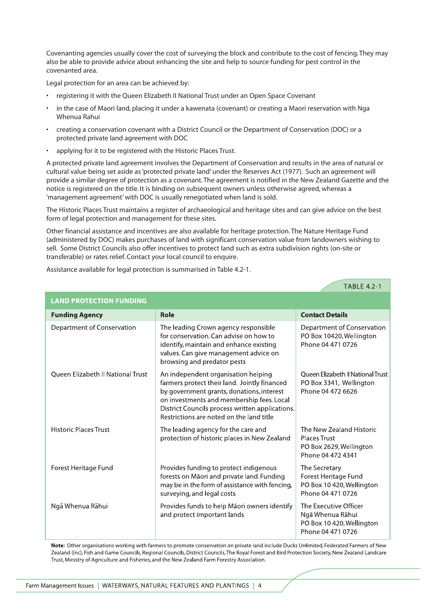Covenanting agencies usually cover the cost of surveying the block and contribute to the cost of fencing. They may also be able to provide advice about enhancing the site and help to source funding for pest control in the covenanted area.

Legal protection for an area can be achieved by:

- registering it with the Queen Elizabeth II National Trust under an Open Space Covenant
- in the case of Maori land, placing it under a kawenata (covenant) or creating a Maori reservation with Nga Whenua Rahui
- creating a conservation covenant with a District Council or the Department of Conservation (DOC) or a protected private land agreement with DOC
- applying for it to be registered with the Historic Places Trust.

A protected private land agreement involves the Department of Conservation and results in the area of natural or cultural value being set aside as 'protected private land' under the Reserves Act (1977). Such an agreement will provide a similar degree of protection as a covenant. The agreement is notified in the New Zealand Gazette and the notice is registered on the title. It is binding on subsequent owners unless otherwise agreed, whereas a 'management agreement' with DOC is usually renegotiated when land is sold.

The Historic Places Trust maintains a register of archaeological and heritage sites and can give advice on the best form of legal protection and management for these sites.

Other financial assistance and incentives are also available for heritage protection. The Nature Heritage Fund (administered by DOC) makes purchases of land with significant conservation value from landowners wishing to sell. Some District Councils also offer incentives to protect land such as extra subdivision rights (on-site or transferable) or rates relief. Contact your local council to enquire.

Assistance available for legal protection is summarised in Table 4.2-1.

| <b>LAND PROTECTION FUNDING</b>    |                                                                                                                                                                                                                                                                              |                                                                                                 |
|-----------------------------------|------------------------------------------------------------------------------------------------------------------------------------------------------------------------------------------------------------------------------------------------------------------------------|-------------------------------------------------------------------------------------------------|
| <b>Funding Agency</b>             | Role                                                                                                                                                                                                                                                                         | <b>Contact Details</b>                                                                          |
| Department of Conservation        | The leading Crown agency responsible<br>for conservation. Can advise on how to<br>identify, maintain and enhance existing<br>values. Can give management advice on<br>browsing and predator pests                                                                            | Department of Conservation<br>PO Box 10420, Wellington<br>Phone 04 471 0726                     |
| Queen Elizabeth II National Trust | An independent organisation helping<br>farmers protect their land. Jointly financed<br>by government grants, donations, interest<br>on investments and membership fees. Local<br>District Councils process written applications.<br>Restrictions are noted on the land title | Oueen Elizabeth II National Trust<br>PO Box 3341, Wellington<br>Phone 04 472 6626               |
| <b>Historic Places Trust</b>      | The leading agency for the care and<br>protection of historic places in New Zealand                                                                                                                                                                                          | The New Zealand Historic<br><b>Places Trust</b><br>PO Box 2629, Wellington<br>Phone 04 472 4341 |
| Forest Heritage Fund              | Provides funding to protect indigenous<br>forests on Māori and private land. Funding<br>may be in the form of assistance with fencing,<br>surveying, and legal costs                                                                                                         | The Secretary<br>Forest Heritage Fund<br>PO Box 10 420, Wellington<br>Phone 04 471 0726         |
| Ngā Whenua Rāhui                  | Provides funds to help Māori owners identify<br>and protect important lands                                                                                                                                                                                                  | The Executive Officer<br>Ngā Whenua Rāhui<br>PO Box 10 420, Wellington<br>Phone 04 471 0726     |

Note: Other organisations working with farmers to promote conservation on private land include Ducks Unlimited, Federated Farmers of New Zealand (Inc), Fish and Game Councils, Regional Councils, District Councils, The Royal Forest and Bird Protection Society, New Zealand Landcare Trust, Ministry of Agriculture and Fisheries, and the New Zealand Farm Forestry Association.

**TABLE 4.2-1**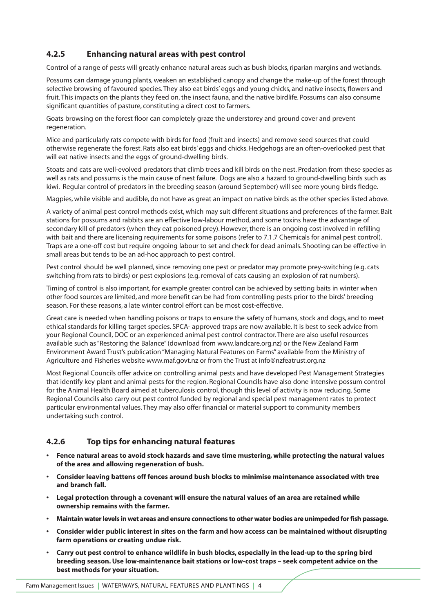# **4.2.5 Enhancing natural areas with pest control**

Control of a range of pests will greatly enhance natural areas such as bush blocks, riparian margins and wetlands.

Possums can damage young plants, weaken an established canopy and change the make-up of the forest through selective browsing of favoured species. They also eat birds' eggs and young chicks, and native insects, flowers and fruit. This impacts on the plants they feed on, the insect fauna, and the native birdlife. Possums can also consume significant quantities of pasture, constituting a direct cost to farmers.

Goats browsing on the forest floor can completely graze the understorey and ground cover and prevent regeneration.

Mice and particularly rats compete with birds for food (fruit and insects) and remove seed sources that could otherwise regenerate the forest. Rats also eat birds' eggs and chicks. Hedgehogs are an often-overlooked pest that will eat native insects and the eggs of ground-dwelling birds.

Stoats and cats are well-evolved predators that climb trees and kill birds on the nest. Predation from these species as well as rats and possums is the main cause of nest failure. Dogs are also a hazard to ground-dwelling birds such as kiwi. Regular control of predators in the breeding season (around September) will see more young birds fledge.

Magpies, while visible and audible, do not have as great an impact on native birds as the other species listed above.

A variety of animal pest control methods exist, which may suit different situations and preferences of the farmer. Bait stations for possums and rabbits are an effective low-labour method, and some toxins have the advantage of secondary kill of predators (when they eat poisoned prey). However, there is an ongoing cost involved in refilling with bait and there are licensing requirements for some poisons (refer to 7.1.7 Chemicals for animal pest control). Traps are a one-off cost but require ongoing labour to set and check for dead animals. Shooting can be effective in small areas but tends to be an ad-hoc approach to pest control.

Pest control should be well planned, since removing one pest or predator may promote prey-switching (e.g. cats switching from rats to birds) or pest explosions (e.g. removal of cats causing an explosion of rat numbers).

Timing of control is also important, for example greater control can be achieved by setting baits in winter when other food sources are limited, and more benefit can be had from controlling pests prior to the birds' breeding season. For these reasons, a late winter control effort can be most cost-effective.

Great care is needed when handling poisons or traps to ensure the safety of humans, stock and dogs, and to meet ethical standards for killing target species. SPCA- approved traps are now available. It is best to seek advice from your Regional Council, DOC or an experienced animal pest control contractor. There are also useful resources available such as "Restoring the Balance" (download from www.landcare.org.nz) or the New Zealand Farm Environment Award Trust's publication "Managing Natural Features on Farms" available from the Ministry of Agriculture and Fisheries website www.maf.govt.nz or from the Trust at info@nzfeatrust.org.nz

Most Regional Councils offer advice on controlling animal pests and have developed Pest Management Strategies that identify key plant and animal pests for the region. Regional Councils have also done intensive possum control for the Animal Health Board aimed at tuberculosis control, though this level of activity is now reducing. Some Regional Councils also carry out pest control funded by regional and special pest management rates to protect particular environmental values. They may also offer financial or material support to community members undertaking such control.

## **4.2.6 Top tips for enhancing natural features**

- **Fence natural areas to avoid stock hazards and save time mustering, while protecting the natural values of the area and allowing regeneration of bush.**
- **Consider leaving battens off fences around bush blocks to minimise maintenance associated with tree and branch fall.**
- **Legal protection through a covenant will ensure the natural values of an area are retained while ownership remains with the farmer.**
- **Maintain water levels in wet areas and ensure connections to other water bodies are unimpeded for fish passage.**
- **Consider wider public interest in sites on the farm and how access can be maintained without disrupting farm operations or creating undue risk.**
- **Carry out pest control to enhance wildlife in bush blocks, especially in the lead-up to the spring bird breeding season. Use low-maintenance bait stations or low-cost traps – seek competent advice on the best methods for your situation.**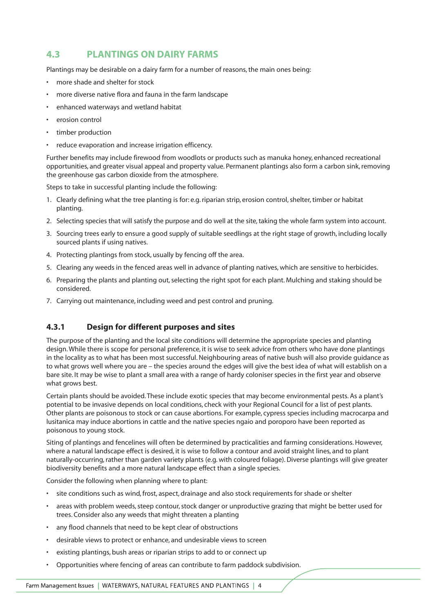# **4.3 PLANTINGS ON DAIRY FARMS**

Plantings may be desirable on a dairy farm for a number of reasons, the main ones being:

- more shade and shelter for stock
- more diverse native flora and fauna in the farm landscape
- enhanced waterways and wetland habitat
- erosion control
- timber production
- reduce evaporation and increase irrigation efficency.

Further benefits may include firewood from woodlots or products such as manuka honey, enhanced recreational opportunities, and greater visual appeal and property value. Permanent plantings also form a carbon sink, removing the greenhouse gas carbon dioxide from the atmosphere.

Steps to take in successful planting include the following:

- 1. Clearly defining what the tree planting is for: e.g. riparian strip, erosion control, shelter, timber or habitat planting.
- 2. Selecting species that will satisfy the purpose and do well at the site, taking the whole farm system into account.
- 3. Sourcing trees early to ensure a good supply of suitable seedlings at the right stage of growth, including locally sourced plants if using natives.
- 4. Protecting plantings from stock, usually by fencing off the area.
- 5. Clearing any weeds in the fenced areas well in advance of planting natives, which are sensitive to herbicides.
- 6. Preparing the plants and planting out, selecting the right spot for each plant. Mulching and staking should be considered.
- 7. Carrying out maintenance, including weed and pest control and pruning.

## **4.3.1 Design for different purposes and sites**

The purpose of the planting and the local site conditions will determine the appropriate species and planting design. While there is scope for personal preference, it is wise to seek advice from others who have done plantings in the locality as to what has been most successful. Neighbouring areas of native bush will also provide guidance as to what grows well where you are – the species around the edges will give the best idea of what will establish on a bare site. It may be wise to plant a small area with a range of hardy coloniser species in the first year and observe what grows best.

Certain plants should be avoided. These include exotic species that may become environmental pests. As a plant's potential to be invasive depends on local conditions, check with your Regional Council for a list of pest plants. Other plants are poisonous to stock or can cause abortions. For example, cypress species including macrocarpa and lusitanica may induce abortions in cattle and the native species ngaio and poroporo have been reported as poisonous to young stock.

Siting of plantings and fencelines will often be determined by practicalities and farming considerations. However, where a natural landscape effect is desired, it is wise to follow a contour and avoid straight lines, and to plant naturally-occurring, rather than garden variety plants (e.g. with coloured foliage). Diverse plantings will give greater biodiversity benefits and a more natural landscape effect than a single species.

Consider the following when planning where to plant:

- site conditions such as wind, frost, aspect, drainage and also stock requirements for shade or shelter
- areas with problem weeds, steep contour, stock danger or unproductive grazing that might be better used for trees. Consider also any weeds that might threaten a planting
- any flood channels that need to be kept clear of obstructions
- desirable views to protect or enhance, and undesirable views to screen
- existing plantings, bush areas or riparian strips to add to or connect up
- Opportunities where fencing of areas can contribute to farm paddock subdivision.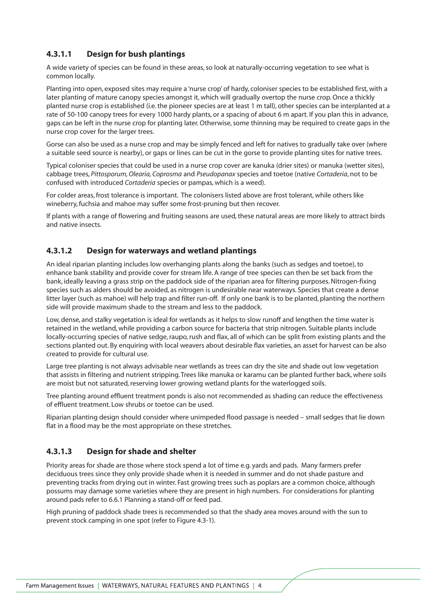# **4.3.1.1 Design for bush plantings**

A wide variety of species can be found in these areas, so look at naturally-occurring vegetation to see what is common locally.

Planting into open, exposed sites may require a 'nurse crop' of hardy, coloniser species to be established first, with a later planting of mature canopy species amongst it, which will gradually overtop the nurse crop. Once a thickly planted nurse crop is established (i.e. the pioneer species are at least 1 m tall), other species can be interplanted at a rate of 50-100 canopy trees for every 1000 hardy plants, or a spacing of about 6 m apart. If you plan this in advance, gaps can be left in the nurse crop for planting later. Otherwise, some thinning may be required to create gaps in the nurse crop cover for the larger trees.

Gorse can also be used as a nurse crop and may be simply fenced and left for natives to gradually take over (where a suitable seed source is nearby), or gaps or lines can be cut in the gorse to provide planting sites for native trees.

Typical coloniser species that could be used in a nurse crop cover are kanuka (drier sites) or manuka (wetter sites), cabbage trees, *Pittosporum, Olearia, Coprosma* and *Pseudopanax* species and toetoe (native *Cortaderia*, not to be confused with introduced *Cortaderia* species or pampas, which is a weed).

For colder areas, frost tolerance is important. The colonisers listed above are frost tolerant, while others like wineberry, fuchsia and mahoe may suffer some frost-pruning but then recover.

If plants with a range of flowering and fruiting seasons are used, these natural areas are more likely to attract birds and native insects.

#### **4.3.1.2 Design for waterways and wetland plantings**

An ideal riparian planting includes low overhanging plants along the banks (such as sedges and toetoe), to enhance bank stability and provide cover for stream life. A range of tree species can then be set back from the bank, ideally leaving a grass strip on the paddock side of the riparian area for filtering purposes. Nitrogen-fixing species such as alders should be avoided, as nitrogen is undesirable near waterways. Species that create a dense litter layer (such as mahoe) will help trap and filter run-off. If only one bank is to be planted, planting the northern side will provide maximum shade to the stream and less to the paddock.

Low, dense, and stalky vegetation is ideal for wetlands as it helps to slow runoff and lengthen the time water is retained in the wetland, while providing a carbon source for bacteria that strip nitrogen. Suitable plants include locally-occurring species of native sedge, raupo, rush and flax, all of which can be split from existing plants and the sections planted out. By enquiring with local weavers about desirable flax varieties, an asset for harvest can be also created to provide for cultural use.

Large tree planting is not always advisable near wetlands as trees can dry the site and shade out low vegetation that assists in filtering and nutrient stripping. Trees like manuka or karamu can be planted further back, where soils are moist but not saturated, reserving lower growing wetland plants for the waterlogged soils.

Tree planting around effluent treatment ponds is also not recommended as shading can reduce the effectiveness of effluent treatment. Low shrubs or toetoe can be used.

Riparian planting design should consider where unimpeded flood passage is needed – small sedges that lie down flat in a flood may be the most appropriate on these stretches.

## **4.3.1.3 Design for shade and shelter**

Priority areas for shade are those where stock spend a lot of time e.g. yards and pads. Many farmers prefer deciduous trees since they only provide shade when it is needed in summer and do not shade pasture and preventing tracks from drying out in winter. Fast growing trees such as poplars are a common choice, although possums may damage some varieties where they are present in high numbers. For considerations for planting around pads refer to 6.6.1 Planning a stand-off or feed pad.

High pruning of paddock shade trees is recommended so that the shady area moves around with the sun to prevent stock camping in one spot (refer to Figure 4.3-1).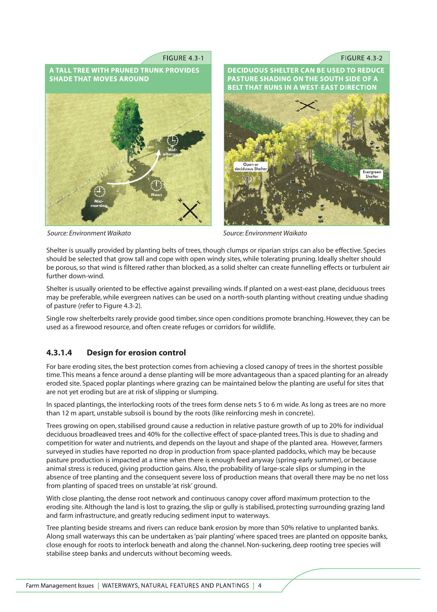



*Source: Environment Waikato Source: Environment Waikato*

Shelter is usually provided by planting belts of trees, though clumps or riparian strips can also be effective. Species should be selected that grow tall and cope with open windy sites, while tolerating pruning. Ideally shelter should be porous, so that wind is filtered rather than blocked, as a solid shelter can create funnelling effects or turbulent air further down-wind.

Shelter is usually oriented to be effective against prevailing winds. If planted on a west-east plane, deciduous trees may be preferable, while evergreen natives can be used on a north-south planting without creating undue shading of pasture (refer to Figure 4.3-2).

Single row shelterbelts rarely provide good timber, since open conditions promote branching. However, they can be used as a firewood resource, and often create refuges or corridors for wildlife.

## **4.3.1.4 Design for erosion control**

For bare eroding sites, the best protection comes from achieving a closed canopy of trees in the shortest possible time. This means a fence around a dense planting will be more advantageous than a spaced planting for an already eroded site. Spaced poplar plantings where grazing can be maintained below the planting are useful for sites that are not yet eroding but are at risk of slipping or slumping.

In spaced plantings, the interlocking roots of the trees form dense nets 5 to 6 m wide. As long as trees are no more than 12 m apart, unstable subsoil is bound by the roots (like reinforcing mesh in concrete).

Trees growing on open, stabilised ground cause a reduction in relative pasture growth of up to 20% for individual deciduous broadleaved trees and 40% for the collective effect of space-planted trees. This is due to shading and competition for water and nutrients, and depends on the layout and shape of the planted area. However, farmers surveyed in studies have reported no drop in production from space-planted paddocks, which may be because pasture production is impacted at a time when there is enough feed anyway (spring-early summer), or because animal stress is reduced, giving production gains. Also, the probability of large-scale slips or slumping in the absence of tree planting and the consequent severe loss of production means that overall there may be no net loss from planting of spaced trees on unstable 'at risk' ground.

With close planting, the dense root network and continuous canopy cover afford maximum protection to the eroding site. Although the land is lost to grazing, the slip or gully is stabilised, protecting surrounding grazing land and farm infrastructure, and greatly reducing sediment input to waterways.

Tree planting beside streams and rivers can reduce bank erosion by more than 50% relative to unplanted banks. Along small waterways this can be undertaken as 'pair planting' where spaced trees are planted on opposite banks, close enough for roots to interlock beneath and along the channel. Non-suckering, deep rooting tree species will stabilise steep banks and undercuts without becoming weeds.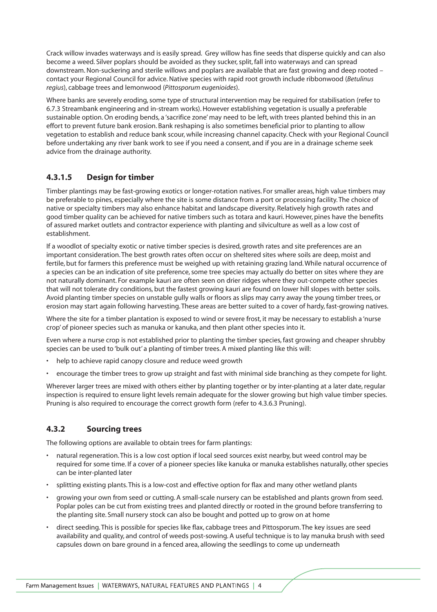Crack willow invades waterways and is easily spread. Grey willow has fine seeds that disperse quickly and can also become a weed. Silver poplars should be avoided as they sucker, split, fall into waterways and can spread downstream. Non-suckering and sterile willows and poplars are available that are fast growing and deep rooted – contact your Regional Council for advice. Native species with rapid root growth include ribbonwood (*Betulinus regius*), cabbage trees and lemonwood (*Pittosporum eugenioides*).

Where banks are severely eroding, some type of structural intervention may be required for stabilisation (refer to 6.7.3 Streambank engineering and in-stream works). However establishing vegetation is usually a preferable sustainable option. On eroding bends, a 'sacrifice zone' may need to be left, with trees planted behind this in an effort to prevent future bank erosion. Bank reshaping is also sometimes beneficial prior to planting to allow vegetation to establish and reduce bank scour, while increasing channel capacity. Check with your Regional Council before undertaking any river bank work to see if you need a consent, and if you are in a drainage scheme seek advice from the drainage authority.

# **4.3.1.5 Design for timber**

Timber plantings may be fast-growing exotics or longer-rotation natives. For smaller areas, high value timbers may be preferable to pines, especially where the site is some distance from a port or processing facility. The choice of native or specialty timbers may also enhance habitat and landscape diversity. Relatively high growth rates and good timber quality can be achieved for native timbers such as totara and kauri. However, pines have the benefits of assured market outlets and contractor experience with planting and silviculture as well as a low cost of establishment.

If a woodlot of specialty exotic or native timber species is desired, growth rates and site preferences are an important consideration. The best growth rates often occur on sheltered sites where soils are deep, moist and fertile, but for farmers this preference must be weighed up with retaining grazing land. While natural occurrence of a species can be an indication of site preference, some tree species may actually do better on sites where they are not naturally dominant. For example kauri are often seen on drier ridges where they out-compete other species that will not tolerate dry conditions, but the fastest growing kauri are found on lower hill slopes with better soils. Avoid planting timber species on unstable gully walls or floors as slips may carry away the young timber trees, or erosion may start again following harvesting. These areas are better suited to a cover of hardy, fast-growing natives.

Where the site for a timber plantation is exposed to wind or severe frost, it may be necessary to establish a 'nurse crop' of pioneer species such as manuka or kanuka, and then plant other species into it.

Even where a nurse crop is not established prior to planting the timber species, fast growing and cheaper shrubby species can be used to 'bulk out' a planting of timber trees. A mixed planting like this will:

- help to achieve rapid canopy closure and reduce weed growth
- encourage the timber trees to grow up straight and fast with minimal side branching as they compete for light.

Wherever larger trees are mixed with others either by planting together or by inter-planting at a later date, regular inspection is required to ensure light levels remain adequate for the slower growing but high value timber species. Pruning is also required to encourage the correct growth form (refer to 4.3.6.3 Pruning).

# **4.3.2 Sourcing trees**

The following options are available to obtain trees for farm plantings:

- natural regeneration. This is a low cost option if local seed sources exist nearby, but weed control may be required for some time. If a cover of a pioneer species like kanuka or manuka establishes naturally, other species can be inter-planted later
- splitting existing plants. This is a low-cost and effective option for flax and many other wetland plants
- growing your own from seed or cutting. A small-scale nursery can be established and plants grown from seed. Poplar poles can be cut from existing trees and planted directly or rooted in the ground before transferring to the planting site. Small nursery stock can also be bought and potted up to grow on at home
- direct seeding. This is possible for species like flax, cabbage trees and Pittosporum. The key issues are seed availability and quality, and control of weeds post-sowing. A useful technique is to lay manuka brush with seed capsules down on bare ground in a fenced area, allowing the seedlings to come up underneath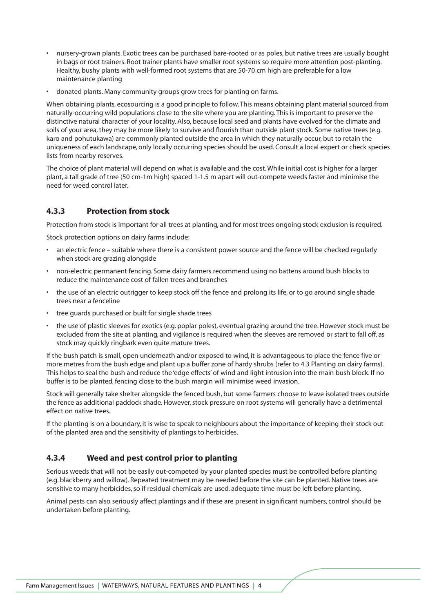- nursery-grown plants. Exotic trees can be purchased bare-rooted or as poles, but native trees are usually bought in bags or root trainers. Root trainer plants have smaller root systems so require more attention post-planting. Healthy, bushy plants with well-formed root systems that are 50-70 cm high are preferable for a low maintenance planting
- donated plants. Many community groups grow trees for planting on farms.

When obtaining plants, ecosourcing is a good principle to follow. This means obtaining plant material sourced from naturally-occurring wild populations close to the site where you are planting. This is important to preserve the distinctive natural character of your locality. Also, because local seed and plants have evolved for the climate and soils of your area, they may be more likely to survive and flourish than outside plant stock. Some native trees (e.g. karo and pohutukawa) are commonly planted outside the area in which they naturally occur, but to retain the uniqueness of each landscape, only locally occurring species should be used. Consult a local expert or check species lists from nearby reserves.

The choice of plant material will depend on what is available and the cost. While initial cost is higher for a larger plant, a tall grade of tree (50 cm-1m high) spaced 1-1.5 m apart will out-compete weeds faster and minimise the need for weed control later.

## **4.3.3 Protection from stock**

Protection from stock is important for all trees at planting, and for most trees ongoing stock exclusion is required.

Stock protection options on dairy farms include:

- an electric fence suitable where there is a consistent power source and the fence will be checked regularly when stock are grazing alongside
- non-electric permanent fencing. Some dairy farmers recommend using no battens around bush blocks to reduce the maintenance cost of fallen trees and branches
- the use of an electric outrigger to keep stock off the fence and prolong its life, or to go around single shade trees near a fenceline
- tree guards purchased or built for single shade trees
- the use of plastic sleeves for exotics (e.g. poplar poles), eventual grazing around the tree. However stock must be excluded from the site at planting, and vigilance is required when the sleeves are removed or start to fall off, as stock may quickly ringbark even quite mature trees.

If the bush patch is small, open underneath and/or exposed to wind, it is advantageous to place the fence five or more metres from the bush edge and plant up a buffer zone of hardy shrubs (refer to 4.3 Planting on dairy farms). This helps to seal the bush and reduce the 'edge effects' of wind and light intrusion into the main bush block. If no buffer is to be planted, fencing close to the bush margin will minimise weed invasion.

Stock will generally take shelter alongside the fenced bush, but some farmers choose to leave isolated trees outside the fence as additional paddock shade. However, stock pressure on root systems will generally have a detrimental effect on native trees.

If the planting is on a boundary, it is wise to speak to neighbours about the importance of keeping their stock out of the planted area and the sensitivity of plantings to herbicides.

## **4.3.4 Weed and pest control prior to planting**

Serious weeds that will not be easily out-competed by your planted species must be controlled before planting (e.g. blackberry and willow). Repeated treatment may be needed before the site can be planted. Native trees are sensitive to many herbicides, so if residual chemicals are used, adequate time must be left before planting.

Animal pests can also seriously affect plantings and if these are present in significant numbers, control should be undertaken before planting.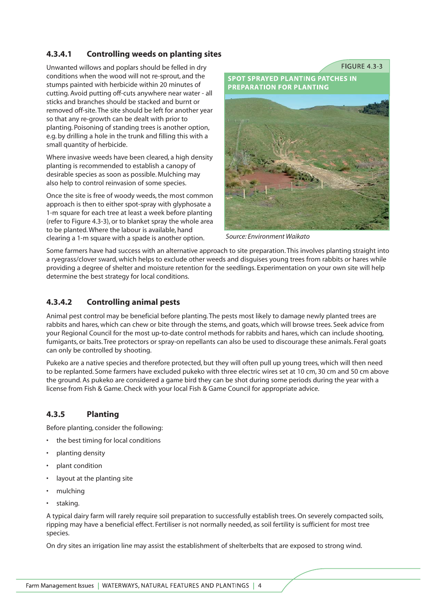# **4.3.4.1 Controlling weeds on planting sites**

Unwanted willows and poplars should be felled in dry conditions when the wood will not re-sprout, and the stumps painted with herbicide within 20 minutes of cutting. Avoid putting off-cuts anywhere near water - all sticks and branches should be stacked and burnt or removed off-site. The site should be left for another year so that any re-growth can be dealt with prior to planting. Poisoning of standing trees is another option, e.g. by drilling a hole in the trunk and filling this with a small quantity of herbicide.

Where invasive weeds have been cleared, a high density planting is recommended to establish a canopy of desirable species as soon as possible. Mulching may also help to control reinvasion of some species.

Once the site is free of woody weeds, the most common approach is then to either spot-spray with glyphosate a 1-m square for each tree at least a week before planting (refer to Figure 4.3-3), or to blanket spray the whole area to be planted. Where the labour is available, hand clearing a 1-m square with a spade is another option.

**SPOT SPRAYED PLANTING PATCHES IN PREPARATION FOR PLANTING** 

**FIGURE 4.3-3** 

*Source: Environment Waikato*

Some farmers have had success with an alternative approach to site preparation. This involves planting straight into a ryegrass/clover sward, which helps to exclude other weeds and disguises young trees from rabbits or hares while providing a degree of shelter and moisture retention for the seedlings. Experimentation on your own site will help determine the best strategy for local conditions.

# **4.3.4.2 Controlling animal pests**

Animal pest control may be beneficial before planting. The pests most likely to damage newly planted trees are rabbits and hares, which can chew or bite through the stems, and goats, which will browse trees. Seek advice from your Regional Council for the most up-to-date control methods for rabbits and hares, which can include shooting, fumigants, or baits. Tree protectors or spray-on repellants can also be used to discourage these animals. Feral goats can only be controlled by shooting.

Pukeko are a native species and therefore protected, but they will often pull up young trees, which will then need to be replanted. Some farmers have excluded pukeko with three electric wires set at 10 cm, 30 cm and 50 cm above the ground. As pukeko are considered a game bird they can be shot during some periods during the year with a license from Fish & Game. Check with your local Fish & Game Council for appropriate advice.

# **4.3.5 Planting**

Before planting, consider the following:

- the best timing for local conditions
- planting density
- plant condition
- layout at the planting site
- mulching
- staking.

A typical dairy farm will rarely require soil preparation to successfully establish trees. On severely compacted soils, ripping may have a beneficial effect. Fertiliser is not normally needed, as soil fertility is sufficient for most tree species.

On dry sites an irrigation line may assist the establishment of shelterbelts that are exposed to strong wind.

Farm Management Issues | WATERWAYS, NATURAL FEATURES AND PLANTINGS | 4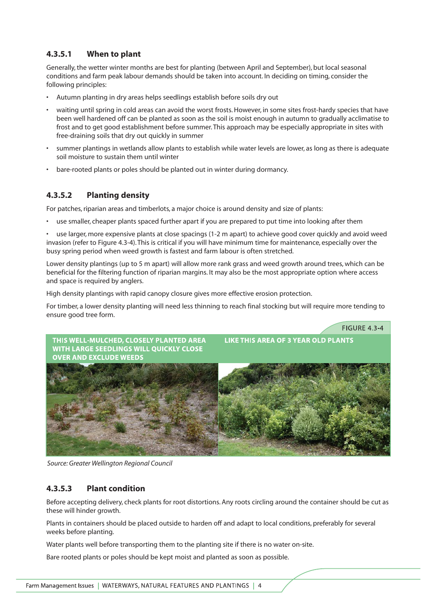# **4.3.5.1 When to plant**

Generally, the wetter winter months are best for planting (between April and September), but local seasonal conditions and farm peak labour demands should be taken into account. In deciding on timing, consider the following principles:

- Autumn planting in dry areas helps seedlings establish before soils dry out
- waiting until spring in cold areas can avoid the worst frosts. However, in some sites frost-hardy species that have been well hardened off can be planted as soon as the soil is moist enough in autumn to gradually acclimatise to frost and to get good establishment before summer. This approach may be especially appropriate in sites with free-draining soils that dry out quickly in summer
- summer plantings in wetlands allow plants to establish while water levels are lower, as long as there is adequate soil moisture to sustain them until winter
- bare-rooted plants or poles should be planted out in winter during dormancy.

# **4.3.5.2 Planting density**

For patches, riparian areas and timberlots, a major choice is around density and size of plants:

- use smaller, cheaper plants spaced further apart if you are prepared to put time into looking after them
- use larger, more expensive plants at close spacings (1-2 m apart) to achieve good cover quickly and avoid weed invasion (refer to Figure 4.3-4). This is critical if you will have minimum time for maintenance, especially over the busy spring period when weed growth is fastest and farm labour is often stretched.

Lower density plantings (up to 5 m apart) will allow more rank grass and weed growth around trees, which can be beneficial for the filtering function of riparian margins. It may also be the most appropriate option where access and space is required by anglers.

High density plantings with rapid canopy closure gives more effective erosion protection.

For timber, a lower density planting will need less thinning to reach final stocking but will require more tending to ensure good tree form.



*Source: Greater Wellington Regional Council*

## **4.3.5.3 Plant condition**

Before accepting delivery, check plants for root distortions. Any roots circling around the container should be cut as these will hinder growth.

Plants in containers should be placed outside to harden off and adapt to local conditions, preferably for several weeks before planting.

Water plants well before transporting them to the planting site if there is no water on-site.

Bare rooted plants or poles should be kept moist and planted as soon as possible.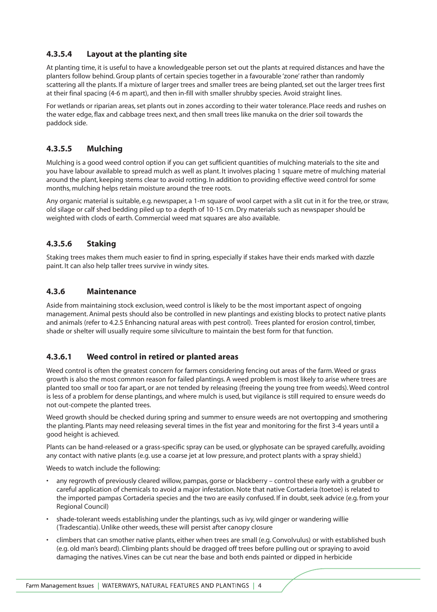# **4.3.5.4 Layout at the planting site**

At planting time, it is useful to have a knowledgeable person set out the plants at required distances and have the planters follow behind. Group plants of certain species together in a favourable 'zone' rather than randomly scattering all the plants. If a mixture of larger trees and smaller trees are being planted, set out the larger trees first at their final spacing (4-6 m apart), and then in-fill with smaller shrubby species. Avoid straight lines.

For wetlands or riparian areas, set plants out in zones according to their water tolerance. Place reeds and rushes on the water edge, flax and cabbage trees next, and then small trees like manuka on the drier soil towards the paddock side.

# **4.3.5.5 Mulching**

Mulching is a good weed control option if you can get sufficient quantities of mulching materials to the site and you have labour available to spread mulch as well as plant. It involves placing 1 square metre of mulching material around the plant, keeping stems clear to avoid rotting. In addition to providing effective weed control for some months, mulching helps retain moisture around the tree roots.

Any organic material is suitable, e.g. newspaper, a 1-m square of wool carpet with a slit cut in it for the tree, or straw, old silage or calf shed bedding piled up to a depth of 10-15 cm. Dry materials such as newspaper should be weighted with clods of earth. Commercial weed mat squares are also available.

## **4.3.5.6 Staking**

Staking trees makes them much easier to find in spring, especially if stakes have their ends marked with dazzle paint. It can also help taller trees survive in windy sites.

#### **4.3.6 Maintenance**

Aside from maintaining stock exclusion, weed control is likely to be the most important aspect of ongoing management. Animal pests should also be controlled in new plantings and existing blocks to protect native plants and animals (refer to 4.2.5 Enhancing natural areas with pest control). Trees planted for erosion control, timber, shade or shelter will usually require some silviculture to maintain the best form for that function.

## **4.3.6.1 Weed control in retired or planted areas**

Weed control is often the greatest concern for farmers considering fencing out areas of the farm. Weed or grass growth is also the most common reason for failed plantings. A weed problem is most likely to arise where trees are planted too small or too far apart, or are not tended by releasing (freeing the young tree from weeds). Weed control is less of a problem for dense plantings, and where mulch is used, but vigilance is still required to ensure weeds do not out-compete the planted trees.

Weed growth should be checked during spring and summer to ensure weeds are not overtopping and smothering the planting. Plants may need releasing several times in the fist year and monitoring for the first 3-4 years until a good height is achieved.

Plants can be hand-released or a grass-specific spray can be used, or glyphosate can be sprayed carefully, avoiding any contact with native plants (e.g. use a coarse jet at low pressure, and protect plants with a spray shield.)

Weeds to watch include the following:

- any regrowth of previously cleared willow, pampas, gorse or blackberry control these early with a grubber or careful application of chemicals to avoid a major infestation. Note that native Cortaderia (toetoe) is related to the imported pampas Cortaderia species and the two are easily confused. If in doubt, seek advice (e.g. from your Regional Council)
- shade-tolerant weeds establishing under the plantings, such as ivy, wild ginger or wandering willie (Tradescantia). Unlike other weeds, these will persist after canopy closure
- climbers that can smother native plants, either when trees are small (e.g. Convolvulus) or with established bush (e.g. old man's beard). Climbing plants should be dragged off trees before pulling out or spraying to avoid damaging the natives. Vines can be cut near the base and both ends painted or dipped in herbicide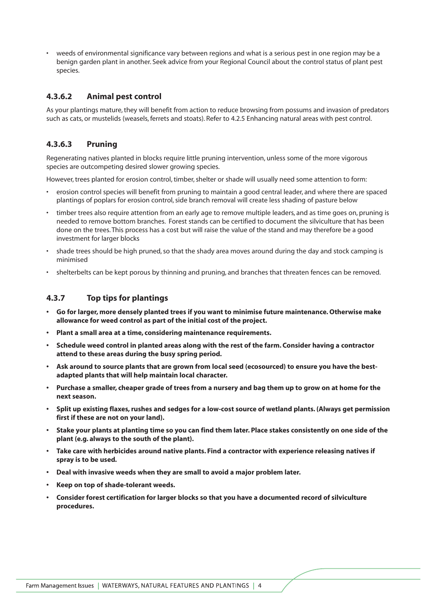• weeds of environmental significance vary between regions and what is a serious pest in one region may be a benign garden plant in another. Seek advice from your Regional Council about the control status of plant pest species.

#### **4.3.6.2 Animal pest control**

As your plantings mature, they will benefit from action to reduce browsing from possums and invasion of predators such as cats, or mustelids (weasels, ferrets and stoats). Refer to 4.2.5 Enhancing natural areas with pest control.

#### **4.3.6.3 Pruning**

Regenerating natives planted in blocks require little pruning intervention, unless some of the more vigorous species are outcompeting desired slower growing species.

However, trees planted for erosion control, timber, shelter or shade will usually need some attention to form:

- erosion control species will benefit from pruning to maintain a good central leader, and where there are spaced plantings of poplars for erosion control, side branch removal will create less shading of pasture below
- timber trees also require attention from an early age to remove multiple leaders, and as time goes on, pruning is needed to remove bottom branches. Forest stands can be certified to document the silviculture that has been done on the trees. This process has a cost but will raise the value of the stand and may therefore be a good investment for larger blocks
- shade trees should be high pruned, so that the shady area moves around during the day and stock camping is minimised
- shelterbelts can be kept porous by thinning and pruning, and branches that threaten fences can be removed.

#### **4.3.7 Top tips for plantings**

- **Go for larger, more densely planted trees if you want to minimise future maintenance. Otherwise make allowance for weed control as part of the initial cost of the project.**
- **Plant a small area at a time, considering maintenance requirements.**
- **Schedule weed control in planted areas along with the rest of the farm. Consider having a contractor attend to these areas during the busy spring period.**
- **Ask around to source plants that are grown from local seed (ecosourced) to ensure you have the bestadapted plants that will help maintain local character.**
- **Purchase a smaller, cheaper grade of trees from a nursery and bag them up to grow on at home for the next season.**
- **Split up existing flaxes, rushes and sedges for a low-cost source of wetland plants. (Always get permission first if these are not on your land).**
- **Stake your plants at planting time so you can find them later. Place stakes consistently on one side of the plant (e.g. always to the south of the plant).**
- **Take care with herbicides around native plants. Find a contractor with experience releasing natives if spray is to be used.**
- **Deal with invasive weeds when they are small to avoid a major problem later.**
- **Keep on top of shade-tolerant weeds.**
- **Consider forest certification for larger blocks so that you have a documented record of silviculture procedures.**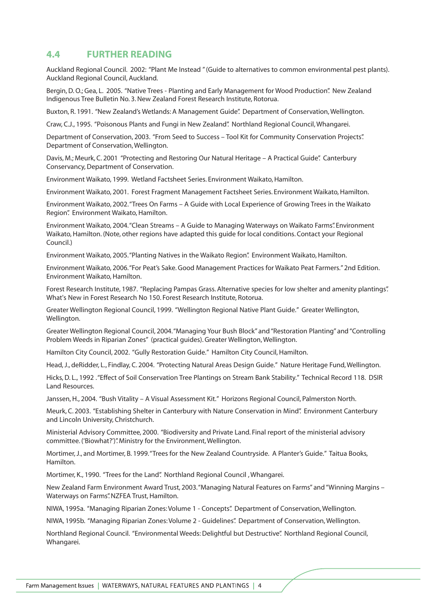# **4.4 FURTHER READING**

Auckland Regional Council. 2002: "Plant Me Instead " (Guide to alternatives to common environmental pest plants). Auckland Regional Council, Auckland.

Bergin, D. O.; Gea, L. 2005. "Native Trees - Planting and Early Management for Wood Production". New Zealand Indigenous Tree Bulletin No. 3. New Zealand Forest Research Institute, Rotorua.

Buxton, R. 1991. "New Zealand's Wetlands: A Management Guide". Department of Conservation, Wellington.

Craw, C.J., 1995. "Poisonous Plants and Fungi in New Zealand". Northland Regional Council, Whangarei.

Department of Conservation, 2003. "From Seed to Success – Tool Kit for Community Conservation Projects". Department of Conservation, Wellington.

Davis, M.; Meurk, C. 2001 "Protecting and Restoring Our Natural Heritage – A Practical Guide". Canterbury Conservancy, Department of Conservation.

Environment Waikato, 1999. Wetland Factsheet Series. Environment Waikato, Hamilton.

Environment Waikato, 2001. Forest Fragment Management Factsheet Series. Environment Waikato, Hamilton.

Environment Waikato, 2002."Trees On Farms – A Guide with Local Experience of Growing Trees in the Waikato Region". Environment Waikato, Hamilton.

Environment Waikato, 2004."Clean Streams – A Guide to Managing Waterways on Waikato Farms". Environment Waikato, Hamilton. (Note, other regions have adapted this guide for local conditions. Contact your Regional Council.)

Environment Waikato, 2005."Planting Natives in the Waikato Region". Environment Waikato, Hamilton.

Environment Waikato, 2006."For Peat's Sake. Good Management Practices for Waikato Peat Farmers." 2nd Edition. Environment Waikato, Hamilton.

Forest Research Institute, 1987. "Replacing Pampas Grass. Alternative species for low shelter and amenity plantings". What's New in Forest Research No 150. Forest Research Institute, Rotorua.

Greater Wellington Regional Council, 1999. "Wellington Regional Native Plant Guide." Greater Wellington, Wellington.

Greater Wellington Regional Council, 2004."Managing Your Bush Block" and "Restoration Planting" and "Controlling Problem Weeds in Riparian Zones" (practical guides). Greater Wellington, Wellington.

Hamilton City Council, 2002. "Gully Restoration Guide." Hamilton City Council, Hamilton.

Head, J., deRidder, L., Findlay, C. 2004. "Protecting Natural Areas Design Guide." Nature Heritage Fund, Wellington.

Hicks, D. L., 1992 ."Effect of Soil Conservation Tree Plantings on Stream Bank Stability." Technical Record 118. DSIR Land Resources.

Janssen, H., 2004. "Bush Vitality – A Visual Assessment Kit." Horizons Regional Council, Palmerston North.

Meurk, C. 2003. "Establishing Shelter in Canterbury with Nature Conservation in Mind". Environment Canterbury and Lincoln University, Christchurch.

Ministerial Advisory Committee, 2000. "Biodiversity and Private Land. Final report of the ministerial advisory committee. ('Biowhat?')". Ministry for the Environment, Wellington.

Mortimer, J., and Mortimer, B. 1999."Trees for the New Zealand Countryside. A Planter's Guide." Taitua Books, Hamilton.

Mortimer, K., 1990. "Trees for the Land". Northland Regional Council , Whangarei.

New Zealand Farm Environment Award Trust, 2003."Managing Natural Features on Farms" and "Winning Margins – Waterways on Farms". NZFEA Trust, Hamilton.

NIWA, 1995a. "Managing Riparian Zones: Volume 1 - Concepts". Department of Conservation, Wellington.

NIWA, 1995b. "Managing Riparian Zones: Volume 2 - Guidelines". Department of Conservation, Wellington.

Northland Regional Council. "Environmental Weeds: Delightful but Destructive". Northland Regional Council, Whangarei.